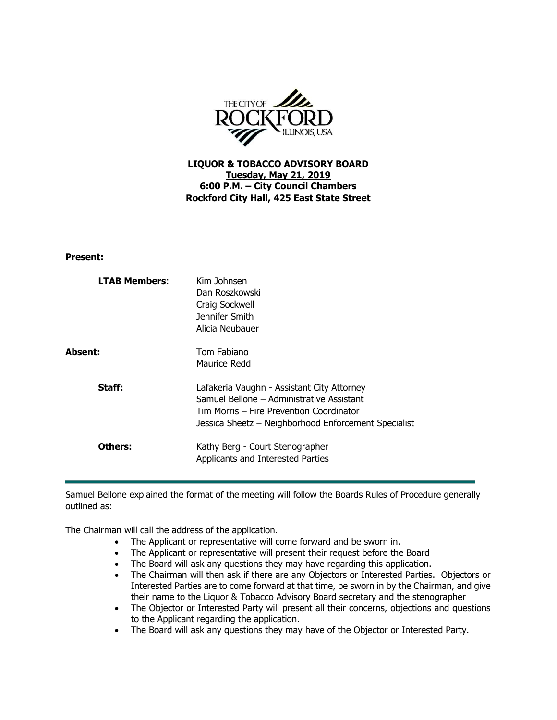

**LIQUOR & TOBACCO ADVISORY BOARD Tuesday, May 21, 2019 6:00 P.M. – City Council Chambers Rockford City Hall, 425 East State Street**

## **Present:**

| <b>LTAB Members:</b> | Kim Johnsen<br>Dan Roszkowski<br>Craig Sockwell<br>Jennifer Smith<br>Alicia Neubauer                                                                                                        |
|----------------------|---------------------------------------------------------------------------------------------------------------------------------------------------------------------------------------------|
| Absent:              | Tom Fabiano<br>Maurice Redd                                                                                                                                                                 |
| Staff:               | Lafakeria Vaughn - Assistant City Attorney<br>Samuel Bellone - Administrative Assistant<br>Tim Morris – Fire Prevention Coordinator<br>Jessica Sheetz - Neighborhood Enforcement Specialist |
| Others:              | Kathy Berg - Court Stenographer<br>Applicants and Interested Parties                                                                                                                        |

Samuel Bellone explained the format of the meeting will follow the Boards Rules of Procedure generally outlined as:

The Chairman will call the address of the application.

- The Applicant or representative will come forward and be sworn in.
- The Applicant or representative will present their request before the Board
- The Board will ask any questions they may have regarding this application.
- The Chairman will then ask if there are any Objectors or Interested Parties. Objectors or Interested Parties are to come forward at that time, be sworn in by the Chairman, and give their name to the Liquor & Tobacco Advisory Board secretary and the stenographer
- The Objector or Interested Party will present all their concerns, objections and questions to the Applicant regarding the application.
- The Board will ask any questions they may have of the Objector or Interested Party.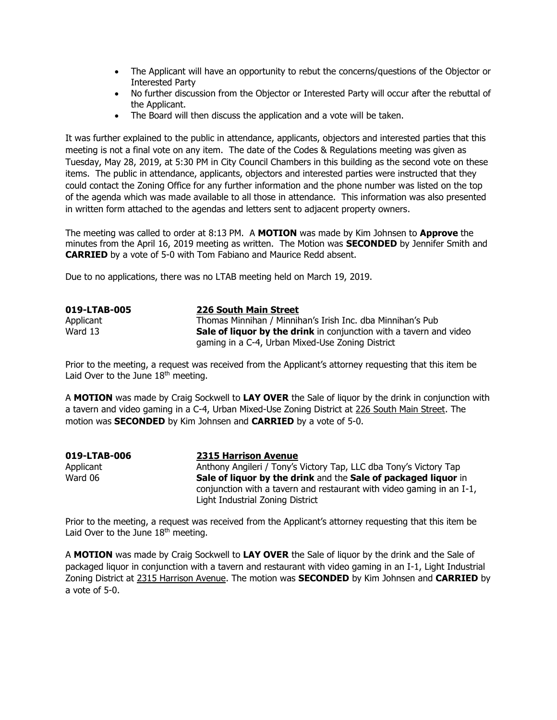- The Applicant will have an opportunity to rebut the concerns/questions of the Objector or Interested Party
- No further discussion from the Objector or Interested Party will occur after the rebuttal of the Applicant.
- The Board will then discuss the application and a vote will be taken.

It was further explained to the public in attendance, applicants, objectors and interested parties that this meeting is not a final vote on any item. The date of the Codes & Regulations meeting was given as Tuesday, May 28, 2019, at 5:30 PM in City Council Chambers in this building as the second vote on these items. The public in attendance, applicants, objectors and interested parties were instructed that they could contact the Zoning Office for any further information and the phone number was listed on the top of the agenda which was made available to all those in attendance. This information was also presented in written form attached to the agendas and letters sent to adjacent property owners.

The meeting was called to order at 8:13 PM. A **MOTION** was made by Kim Johnsen to **Approve** the minutes from the April 16, 2019 meeting as written. The Motion was **SECONDED** by Jennifer Smith and **CARRIED** by a vote of 5-0 with Tom Fabiano and Maurice Redd absent.

Due to no applications, there was no LTAB meeting held on March 19, 2019.

| 019-LTAB-005 | 226 South Main Street                                                     |
|--------------|---------------------------------------------------------------------------|
| Applicant    | Thomas Minnihan / Minnihan's Irish Inc. dba Minnihan's Pub                |
| Ward 13      | <b>Sale of liquor by the drink</b> in conjunction with a tavern and video |
|              | gaming in a C-4, Urban Mixed-Use Zoning District                          |

Prior to the meeting, a request was received from the Applicant's attorney requesting that this item be Laid Over to the June 18<sup>th</sup> meeting.

A **MOTION** was made by Craig Sockwell to **LAY OVER** the Sale of liquor by the drink in conjunction with a tavern and video gaming in a C-4, Urban Mixed-Use Zoning District at 226 South Main Street. The motion was **SECONDED** by Kim Johnsen and **CARRIED** by a vote of 5-0.

| 019-LTAB-006 | <b>2315 Harrison Avenue</b>                                           |
|--------------|-----------------------------------------------------------------------|
| Applicant    | Anthony Angileri / Tony's Victory Tap, LLC dba Tony's Victory Tap     |
| Ward 06      | Sale of liquor by the drink and the Sale of packaged liquor in        |
|              | conjunction with a tavern and restaurant with video gaming in an I-1, |
|              | Light Industrial Zoning District                                      |

Prior to the meeting, a request was received from the Applicant's attorney requesting that this item be Laid Over to the June  $18<sup>th</sup>$  meeting.

A **MOTION** was made by Craig Sockwell to **LAY OVER** the Sale of liquor by the drink and the Sale of packaged liquor in conjunction with a tavern and restaurant with video gaming in an I-1, Light Industrial Zoning District at 2315 Harrison Avenue. The motion was **SECONDED** by Kim Johnsen and **CARRIED** by a vote of 5-0.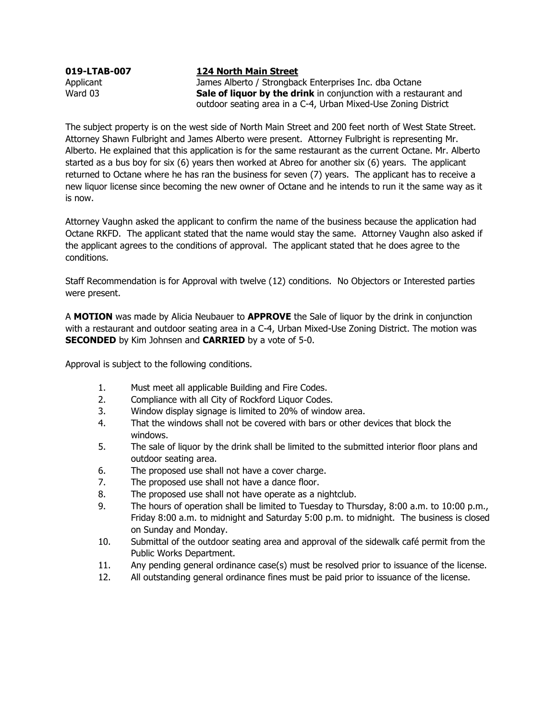## **019-LTAB-007 124 North Main Street**

Applicant James Alberto / Strongback Enterprises Inc. dba Octane Ward 03 **Sale of liquor by the drink** in conjunction with a restaurant and outdoor seating area in a C-4, Urban Mixed-Use Zoning District

The subject property is on the west side of North Main Street and 200 feet north of West State Street. Attorney Shawn Fulbright and James Alberto were present. Attorney Fulbright is representing Mr. Alberto. He explained that this application is for the same restaurant as the current Octane. Mr. Alberto started as a bus boy for six (6) years then worked at Abreo for another six (6) years. The applicant returned to Octane where he has ran the business for seven (7) years. The applicant has to receive a new liquor license since becoming the new owner of Octane and he intends to run it the same way as it is now.

Attorney Vaughn asked the applicant to confirm the name of the business because the application had Octane RKFD. The applicant stated that the name would stay the same. Attorney Vaughn also asked if the applicant agrees to the conditions of approval. The applicant stated that he does agree to the conditions.

Staff Recommendation is for Approval with twelve (12) conditions. No Objectors or Interested parties were present.

A **MOTION** was made by Alicia Neubauer to **APPROVE** the Sale of liquor by the drink in conjunction with a restaurant and outdoor seating area in a C-4, Urban Mixed-Use Zoning District. The motion was **SECONDED** by Kim Johnsen and **CARRIED** by a vote of 5-0.

Approval is subject to the following conditions.

- 1. Must meet all applicable Building and Fire Codes.
- 2. Compliance with all City of Rockford Liquor Codes.
- 3. Window display signage is limited to 20% of window area.
- 4. That the windows shall not be covered with bars or other devices that block the windows.
- 5. The sale of liquor by the drink shall be limited to the submitted interior floor plans and outdoor seating area.
- 6. The proposed use shall not have a cover charge.
- 7. The proposed use shall not have a dance floor.
- 8. The proposed use shall not have operate as a nightclub.
- 9. The hours of operation shall be limited to Tuesday to Thursday, 8:00 a.m. to 10:00 p.m., Friday 8:00 a.m. to midnight and Saturday 5:00 p.m. to midnight. The business is closed on Sunday and Monday.
- 10. Submittal of the outdoor seating area and approval of the sidewalk café permit from the Public Works Department.
- 11. Any pending general ordinance case(s) must be resolved prior to issuance of the license.
- 12. All outstanding general ordinance fines must be paid prior to issuance of the license.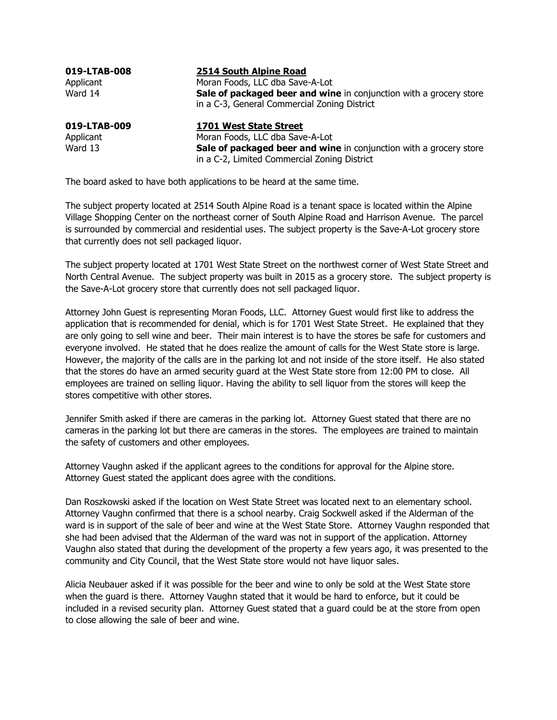| 019-LTAB-008 | 2514 South Alpine Road                                             |
|--------------|--------------------------------------------------------------------|
| Applicant    | Moran Foods, LLC dba Save-A-Lot                                    |
| Ward 14      | Sale of packaged beer and wine in conjunction with a grocery store |
|              | in a C-3, General Commercial Zoning District                       |
| 019-LTAB-009 | 1701 West State Street                                             |
| Applicant    | Moran Foods, LLC dba Save-A-Lot                                    |
| Ward 13      | Sale of packaged beer and wine in conjunction with a grocery store |
|              | in a C-2, Limited Commercial Zoning District                       |

The board asked to have both applications to be heard at the same time.

The subject property located at 2514 South Alpine Road is a tenant space is located within the Alpine Village Shopping Center on the northeast corner of South Alpine Road and Harrison Avenue. The parcel is surrounded by commercial and residential uses. The subject property is the Save-A-Lot grocery store that currently does not sell packaged liquor.

The subject property located at 1701 West State Street on the northwest corner of West State Street and North Central Avenue. The subject property was built in 2015 as a grocery store. The subject property is the Save-A-Lot grocery store that currently does not sell packaged liquor.

Attorney John Guest is representing Moran Foods, LLC. Attorney Guest would first like to address the application that is recommended for denial, which is for 1701 West State Street. He explained that they are only going to sell wine and beer. Their main interest is to have the stores be safe for customers and everyone involved. He stated that he does realize the amount of calls for the West State store is large. However, the majority of the calls are in the parking lot and not inside of the store itself. He also stated that the stores do have an armed security guard at the West State store from 12:00 PM to close. All employees are trained on selling liquor. Having the ability to sell liquor from the stores will keep the stores competitive with other stores.

Jennifer Smith asked if there are cameras in the parking lot. Attorney Guest stated that there are no cameras in the parking lot but there are cameras in the stores. The employees are trained to maintain the safety of customers and other employees.

Attorney Vaughn asked if the applicant agrees to the conditions for approval for the Alpine store. Attorney Guest stated the applicant does agree with the conditions.

Dan Roszkowski asked if the location on West State Street was located next to an elementary school. Attorney Vaughn confirmed that there is a school nearby. Craig Sockwell asked if the Alderman of the ward is in support of the sale of beer and wine at the West State Store. Attorney Vaughn responded that she had been advised that the Alderman of the ward was not in support of the application. Attorney Vaughn also stated that during the development of the property a few years ago, it was presented to the community and City Council, that the West State store would not have liquor sales.

Alicia Neubauer asked if it was possible for the beer and wine to only be sold at the West State store when the guard is there. Attorney Vaughn stated that it would be hard to enforce, but it could be included in a revised security plan. Attorney Guest stated that a guard could be at the store from open to close allowing the sale of beer and wine.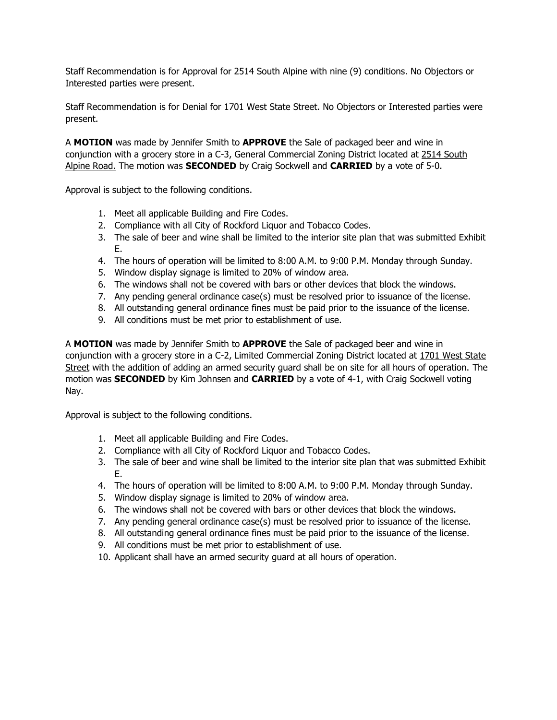Staff Recommendation is for Approval for 2514 South Alpine with nine (9) conditions. No Objectors or Interested parties were present.

Staff Recommendation is for Denial for 1701 West State Street. No Objectors or Interested parties were present.

A **MOTION** was made by Jennifer Smith to **APPROVE** the Sale of packaged beer and wine in conjunction with a grocery store in a C-3, General Commercial Zoning District located at 2514 South Alpine Road. The motion was **SECONDED** by Craig Sockwell and **CARRIED** by a vote of 5-0.

Approval is subject to the following conditions.

- 1. Meet all applicable Building and Fire Codes.
- 2. Compliance with all City of Rockford Liquor and Tobacco Codes.
- 3. The sale of beer and wine shall be limited to the interior site plan that was submitted Exhibit E.
- 4. The hours of operation will be limited to 8:00 A.M. to 9:00 P.M. Monday through Sunday.
- 5. Window display signage is limited to 20% of window area.
- 6. The windows shall not be covered with bars or other devices that block the windows.
- 7. Any pending general ordinance case(s) must be resolved prior to issuance of the license.
- 8. All outstanding general ordinance fines must be paid prior to the issuance of the license.
- 9. All conditions must be met prior to establishment of use.

A **MOTION** was made by Jennifer Smith to **APPROVE** the Sale of packaged beer and wine in conjunction with a grocery store in a C-2, Limited Commercial Zoning District located at 1701 West State Street with the addition of adding an armed security guard shall be on site for all hours of operation. The motion was **SECONDED** by Kim Johnsen and **CARRIED** by a vote of 4-1, with Craig Sockwell voting Nay.

Approval is subject to the following conditions.

- 1. Meet all applicable Building and Fire Codes.
- 2. Compliance with all City of Rockford Liquor and Tobacco Codes.
- 3. The sale of beer and wine shall be limited to the interior site plan that was submitted Exhibit E.
- 4. The hours of operation will be limited to 8:00 A.M. to 9:00 P.M. Monday through Sunday.
- 5. Window display signage is limited to 20% of window area.
- 6. The windows shall not be covered with bars or other devices that block the windows.
- 7. Any pending general ordinance case(s) must be resolved prior to issuance of the license.
- 8. All outstanding general ordinance fines must be paid prior to the issuance of the license.
- 9. All conditions must be met prior to establishment of use.
- 10. Applicant shall have an armed security guard at all hours of operation.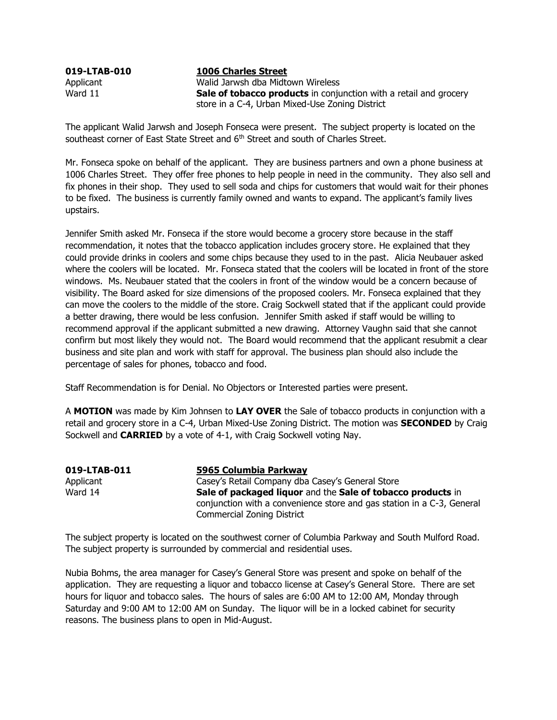**019-LTAB-010 1006 Charles Street**

Applicant Walid Jarwsh dba Midtown Wireless Ward 11 **Sale of tobacco products** in conjunction with a retail and grocery store in a C-4, Urban Mixed-Use Zoning District

The applicant Walid Jarwsh and Joseph Fonseca were present. The subject property is located on the southeast corner of East State Street and 6<sup>th</sup> Street and south of Charles Street.

Mr. Fonseca spoke on behalf of the applicant. They are business partners and own a phone business at 1006 Charles Street. They offer free phones to help people in need in the community. They also sell and fix phones in their shop. They used to sell soda and chips for customers that would wait for their phones to be fixed. The business is currently family owned and wants to expand. The applicant's family lives upstairs.

Jennifer Smith asked Mr. Fonseca if the store would become a grocery store because in the staff recommendation, it notes that the tobacco application includes grocery store. He explained that they could provide drinks in coolers and some chips because they used to in the past. Alicia Neubauer asked where the coolers will be located. Mr. Fonseca stated that the coolers will be located in front of the store windows. Ms. Neubauer stated that the coolers in front of the window would be a concern because of visibility. The Board asked for size dimensions of the proposed coolers. Mr. Fonseca explained that they can move the coolers to the middle of the store. Craig Sockwell stated that if the applicant could provide a better drawing, there would be less confusion. Jennifer Smith asked if staff would be willing to recommend approval if the applicant submitted a new drawing. Attorney Vaughn said that she cannot confirm but most likely they would not. The Board would recommend that the applicant resubmit a clear business and site plan and work with staff for approval. The business plan should also include the percentage of sales for phones, tobacco and food.

Staff Recommendation is for Denial. No Objectors or Interested parties were present.

A **MOTION** was made by Kim Johnsen to **LAY OVER** the Sale of tobacco products in conjunction with a retail and grocery store in a C-4, Urban Mixed-Use Zoning District. The motion was **SECONDED** by Craig Sockwell and **CARRIED** by a vote of 4-1, with Craig Sockwell voting Nay.

| 019-LTAB-011 | 5965 Columbia Parkway                                                  |
|--------------|------------------------------------------------------------------------|
| Applicant    | Casey's Retail Company dba Casey's General Store                       |
| Ward 14      | Sale of packaged liquor and the Sale of tobacco products in            |
|              | conjunction with a convenience store and gas station in a C-3, General |
|              | <b>Commercial Zoning District</b>                                      |

The subject property is located on the southwest corner of Columbia Parkway and South Mulford Road. The subject property is surrounded by commercial and residential uses.

Nubia Bohms, the area manager for Casey's General Store was present and spoke on behalf of the application. They are requesting a liquor and tobacco license at Casey's General Store. There are set hours for liquor and tobacco sales. The hours of sales are 6:00 AM to 12:00 AM, Monday through Saturday and 9:00 AM to 12:00 AM on Sunday. The liquor will be in a locked cabinet for security reasons. The business plans to open in Mid-August.